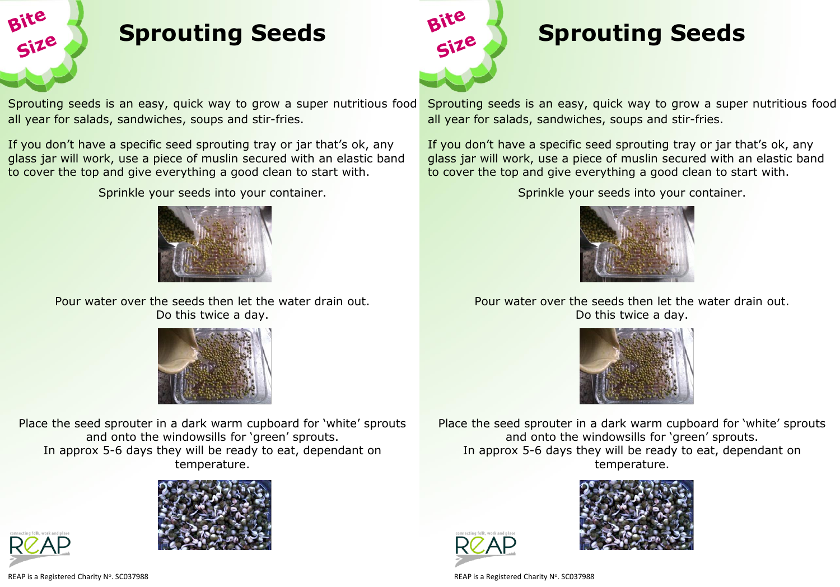

## **Sprouting Seeds**

Sprouting seeds is an easy, quick way to grow a super nutritious food all year for salads, sandwiches, soups and stir-fries.

If you don't have a specific seed sprouting tray or jar that's ok, any glass jar will work, use a piece of muslin secured with an elastic band to cover the top and give everything a good clean to start with.

Sprinkle your seeds into your container.



Pour water over the seeds then let the water drain out. Do this twice a day.



Place the seed sprouter in a dark warm cupboard for 'white' sprouts and onto the windowsills for 'green' sprouts. In approx 5-6 days they will be ready to eat, dependant on temperature.





REAP is a Registered Charity Nº. SC037988



# **Sprouting Seeds**

Sprouting seeds is an easy, quick way to grow a super nutritious food all year for salads, sandwiches, soups and stir-fries.

If you don't have a specific seed sprouting tray or jar that's ok, any glass jar will work, use a piece of muslin secured with an elastic band to cover the top and give everything a good clean to start with.

Sprinkle your seeds into your container.



### Pour water over the seeds then let the water drain out. Do this twice a day.



Place the seed sprouter in a dark warm cupboard for 'white' sprouts and onto the windowsills for 'green' sprouts. In approx 5-6 days they will be ready to eat, dependant on temperature.





. SC037988 REAP is a Registered Charity N<sup>o</sup> . SC037988